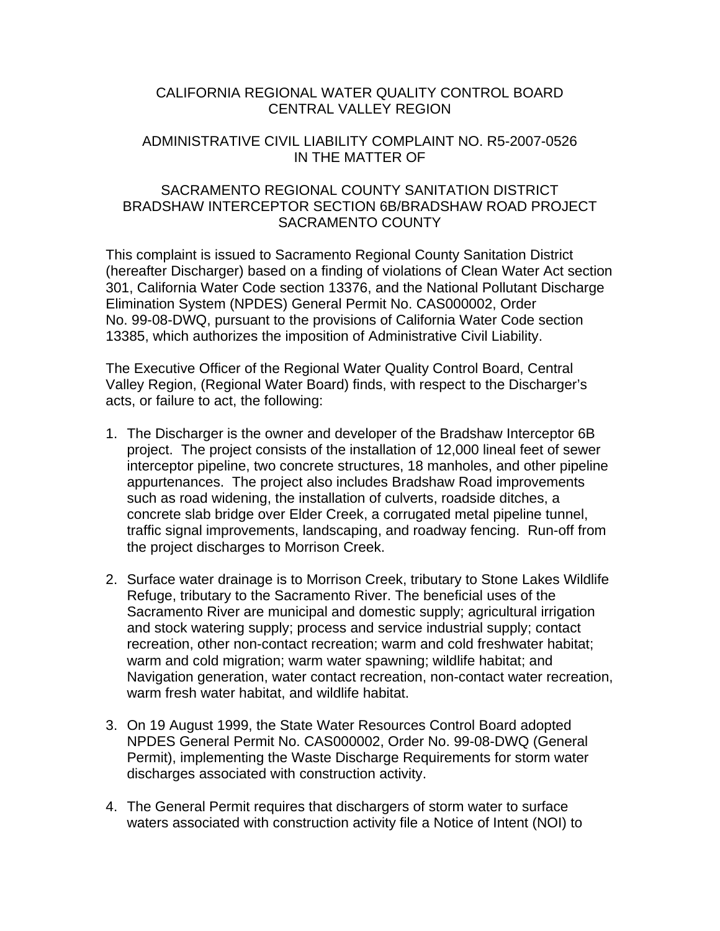## CALIFORNIA REGIONAL WATER QUALITY CONTROL BOARD CENTRAL VALLEY REGION

#### ADMINISTRATIVE CIVIL LIABILITY COMPLAINT NO. R5-2007-0526 IN THE MATTER OF

## SACRAMENTO REGIONAL COUNTY SANITATION DISTRICT BRADSHAW INTERCEPTOR SECTION 6B/BRADSHAW ROAD PROJECT SACRAMENTO COUNTY

This complaint is issued to Sacramento Regional County Sanitation District (hereafter Discharger) based on a finding of violations of Clean Water Act section 301, California Water Code section 13376, and the National Pollutant Discharge Elimination System (NPDES) General Permit No. CAS000002, Order No. 99-08-DWQ, pursuant to the provisions of California Water Code section 13385, which authorizes the imposition of Administrative Civil Liability.

The Executive Officer of the Regional Water Quality Control Board, Central Valley Region, (Regional Water Board) finds, with respect to the Discharger's acts, or failure to act, the following:

- 1. The Discharger is the owner and developer of the Bradshaw Interceptor 6B project. The project consists of the installation of 12,000 lineal feet of sewer interceptor pipeline, two concrete structures, 18 manholes, and other pipeline appurtenances. The project also includes Bradshaw Road improvements such as road widening, the installation of culverts, roadside ditches, a concrete slab bridge over Elder Creek, a corrugated metal pipeline tunnel, traffic signal improvements, landscaping, and roadway fencing. Run-off from the project discharges to Morrison Creek.
- 2. Surface water drainage is to Morrison Creek, tributary to Stone Lakes Wildlife Refuge, tributary to the Sacramento River. The beneficial uses of the Sacramento River are municipal and domestic supply; agricultural irrigation and stock watering supply; process and service industrial supply; contact recreation, other non-contact recreation; warm and cold freshwater habitat; warm and cold migration; warm water spawning; wildlife habitat; and Navigation generation, water contact recreation, non-contact water recreation, warm fresh water habitat, and wildlife habitat.
- 3. On 19 August 1999, the State Water Resources Control Board adopted NPDES General Permit No. CAS000002, Order No. 99-08-DWQ (General Permit), implementing the Waste Discharge Requirements for storm water discharges associated with construction activity.
- 4. The General Permit requires that dischargers of storm water to surface waters associated with construction activity file a Notice of Intent (NOI) to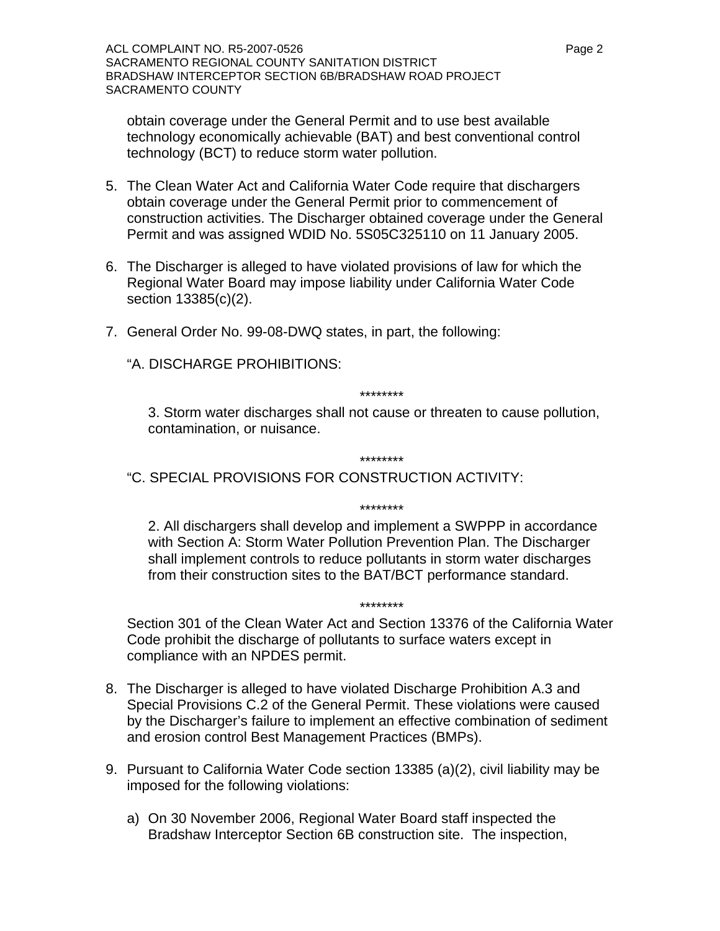obtain coverage under the General Permit and to use best available technology economically achievable (BAT) and best conventional control technology (BCT) to reduce storm water pollution.

- 5. The Clean Water Act and California Water Code require that dischargers obtain coverage under the General Permit prior to commencement of construction activities. The Discharger obtained coverage under the General Permit and was assigned WDID No. 5S05C325110 on 11 January 2005.
- 6. The Discharger is alleged to have violated provisions of law for which the Regional Water Board may impose liability under California Water Code section 13385(c)(2).
- 7. General Order No. 99-08-DWQ states, in part, the following:

"A. DISCHARGE PROHIBITIONS:

\*\*\*\*\*\*\*\*

3. Storm water discharges shall not cause or threaten to cause pollution, contamination, or nuisance.

\*\*\*\*\*\*\*\*

\*\*\*\*\*\*\*\*

"C. SPECIAL PROVISIONS FOR CONSTRUCTION ACTIVITY:

2. All dischargers shall develop and implement a SWPPP in accordance with Section A: Storm Water Pollution Prevention Plan. The Discharger shall implement controls to reduce pollutants in storm water discharges from their construction sites to the BAT/BCT performance standard.

Section 301 of the Clean Water Act and Section 13376 of the California Water Code prohibit the discharge of pollutants to surface waters except in compliance with an NPDES permit.

\*\*\*\*\*\*\*\*

- 8. The Discharger is alleged to have violated Discharge Prohibition A.3 and Special Provisions C.2 of the General Permit. These violations were caused by the Discharger's failure to implement an effective combination of sediment and erosion control Best Management Practices (BMPs).
- 9. Pursuant to California Water Code section 13385 (a)(2), civil liability may be imposed for the following violations:
	- a) On 30 November 2006, Regional Water Board staff inspected the Bradshaw Interceptor Section 6B construction site. The inspection,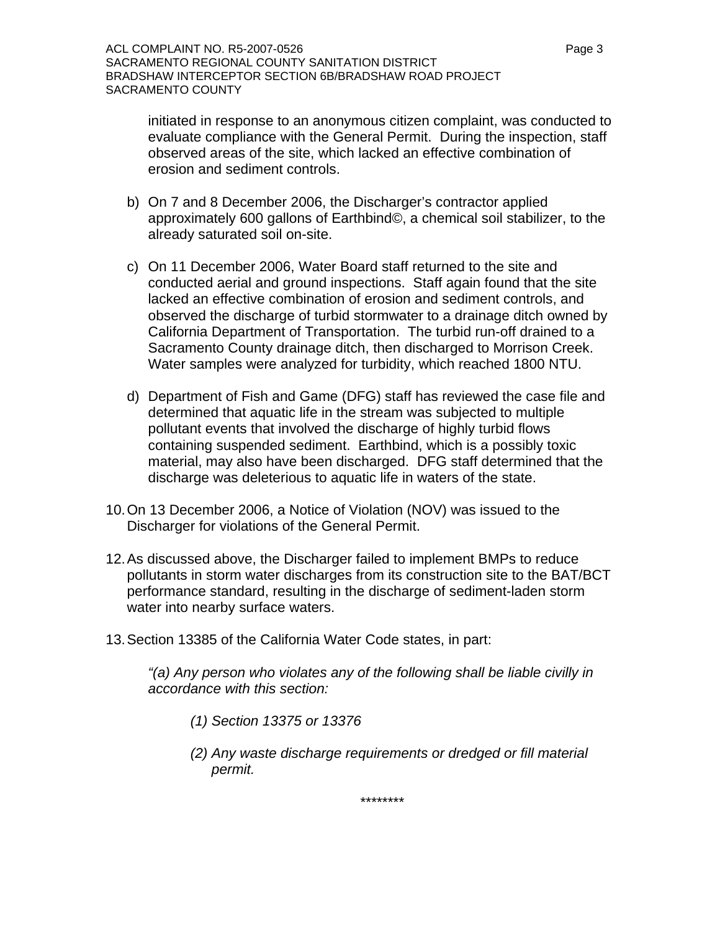initiated in response to an anonymous citizen complaint, was conducted to evaluate compliance with the General Permit. During the inspection, staff observed areas of the site, which lacked an effective combination of erosion and sediment controls.

- b) On 7 and 8 December 2006, the Discharger's contractor applied approximately 600 gallons of Earthbind©, a chemical soil stabilizer, to the already saturated soil on-site.
- c) On 11 December 2006, Water Board staff returned to the site and conducted aerial and ground inspections. Staff again found that the site lacked an effective combination of erosion and sediment controls, and observed the discharge of turbid stormwater to a drainage ditch owned by California Department of Transportation. The turbid run-off drained to a Sacramento County drainage ditch, then discharged to Morrison Creek. Water samples were analyzed for turbidity, which reached 1800 NTU.
- d) Department of Fish and Game (DFG) staff has reviewed the case file and determined that aquatic life in the stream was subjected to multiple pollutant events that involved the discharge of highly turbid flows containing suspended sediment. Earthbind, which is a possibly toxic material, may also have been discharged. DFG staff determined that the discharge was deleterious to aquatic life in waters of the state.
- 10. On 13 December 2006, a Notice of Violation (NOV) was issued to the Discharger for violations of the General Permit.
- 12. As discussed above, the Discharger failed to implement BMPs to reduce pollutants in storm water discharges from its construction site to the BAT/BCT performance standard, resulting in the discharge of sediment-laden storm water into nearby surface waters.
- 13. Section 13385 of the California Water Code states, in part:

*"(a) Any person who violates any of the following shall be liable civilly in accordance with this section:* 

- *(1) Section 13375 or 13376*
- *(2) Any waste discharge requirements or dredged or fill material permit.*

*\*\*\*\*\*\*\*\**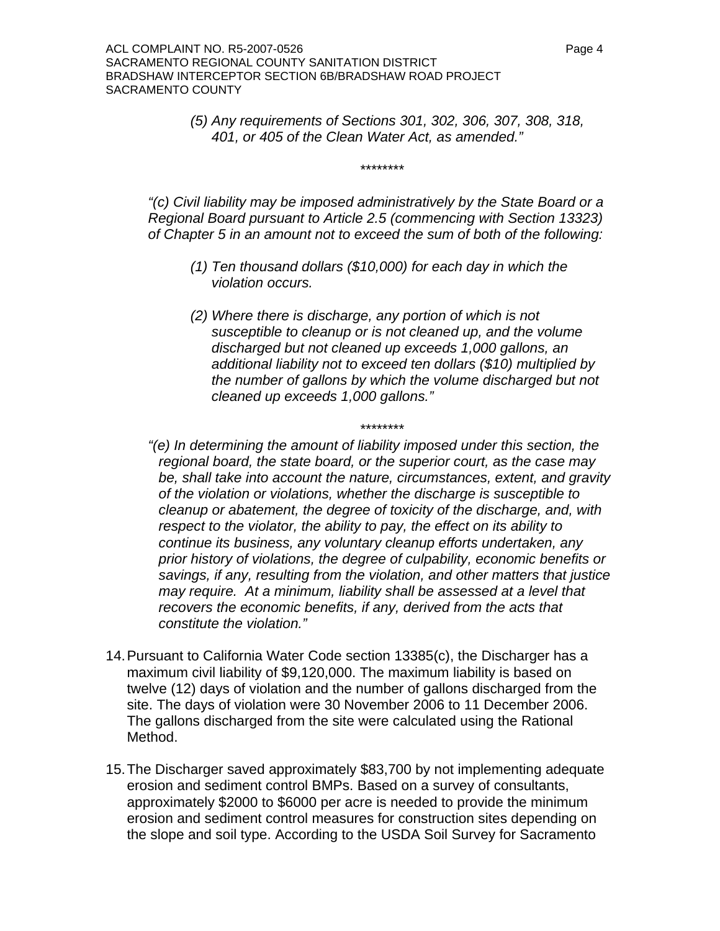*(5) Any requirements of Sections 301, 302, 306, 307, 308, 318, 401, or 405 of the Clean Water Act, as amended."* 

*"(c) Civil liability may be imposed administratively by the State Board or a Regional Board pursuant to Article 2.5 (commencing with Section 13323) of Chapter 5 in an amount not to exceed the sum of both of the following:* 

*\*\*\*\*\*\*\*\** 

- *(1) Ten thousand dollars (\$10,000) for each day in which the violation occurs.*
- *(2) Where there is discharge, any portion of which is not susceptible to cleanup or is not cleaned up, and the volume discharged but not cleaned up exceeds 1,000 gallons, an additional liability not to exceed ten dollars (\$10) multiplied by the number of gallons by which the volume discharged but not cleaned up exceeds 1,000 gallons."*

*"(e) In determining the amount of liability imposed under this section, the regional board, the state board, or the superior court, as the case may be, shall take into account the nature, circumstances, extent, and gravity of the violation or violations, whether the discharge is susceptible to cleanup or abatement, the degree of toxicity of the discharge, and, with respect to the violator, the ability to pay, the effect on its ability to continue its business, any voluntary cleanup efforts undertaken, any prior history of violations, the degree of culpability, economic benefits or savings, if any, resulting from the violation, and other matters that justice may require. At a minimum, liability shall be assessed at a level that recovers the economic benefits, if any, derived from the acts that constitute the violation."* 

*\*\*\*\*\*\*\*\** 

- 14. Pursuant to California Water Code section 13385(c), the Discharger has a maximum civil liability of \$9,120,000. The maximum liability is based on twelve (12) days of violation and the number of gallons discharged from the site. The days of violation were 30 November 2006 to 11 December 2006. The gallons discharged from the site were calculated using the Rational Method.
- 15. The Discharger saved approximately \$83,700 by not implementing adequate erosion and sediment control BMPs. Based on a survey of consultants, approximately \$2000 to \$6000 per acre is needed to provide the minimum erosion and sediment control measures for construction sites depending on the slope and soil type. According to the USDA Soil Survey for Sacramento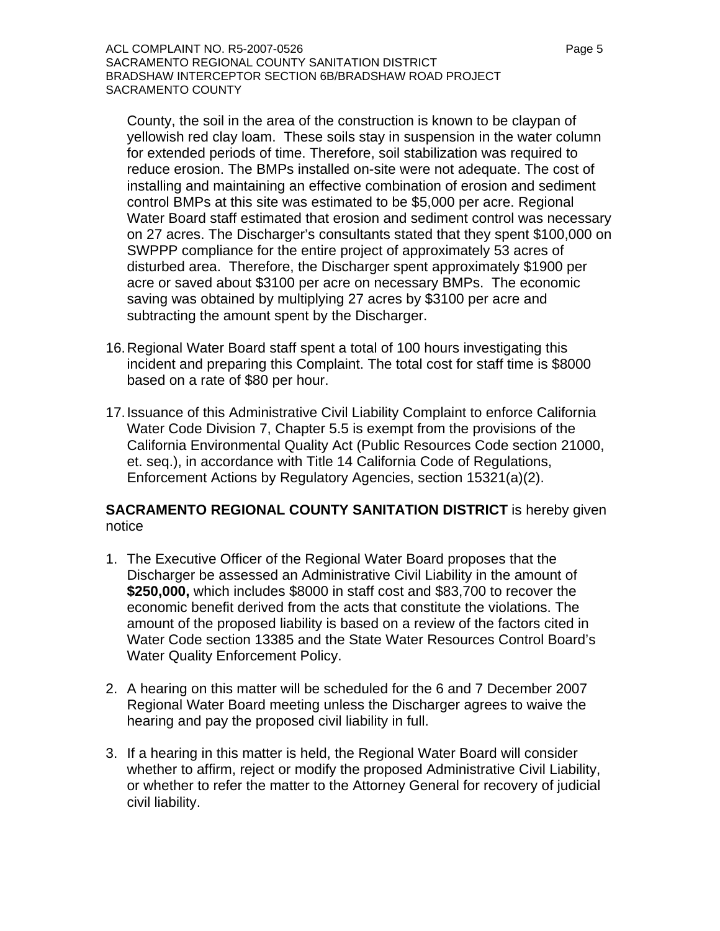ACL COMPLAINT NO. R5-2007-0526 Page 5 SACRAMENTO REGIONAL COUNTY SANITATION DISTRICT BRADSHAW INTERCEPTOR SECTION 6B/BRADSHAW ROAD PROJECT SACRAMENTO COUNTY

County, the soil in the area of the construction is known to be claypan of yellowish red clay loam. These soils stay in suspension in the water column for extended periods of time. Therefore, soil stabilization was required to reduce erosion. The BMPs installed on-site were not adequate. The cost of installing and maintaining an effective combination of erosion and sediment control BMPs at this site was estimated to be \$5,000 per acre. Regional Water Board staff estimated that erosion and sediment control was necessary on 27 acres. The Discharger's consultants stated that they spent \$100,000 on SWPPP compliance for the entire project of approximately 53 acres of disturbed area. Therefore, the Discharger spent approximately \$1900 per acre or saved about \$3100 per acre on necessary BMPs. The economic saving was obtained by multiplying 27 acres by \$3100 per acre and subtracting the amount spent by the Discharger.

- 16. Regional Water Board staff spent a total of 100 hours investigating this incident and preparing this Complaint. The total cost for staff time is \$8000 based on a rate of \$80 per hour.
- 17. Issuance of this Administrative Civil Liability Complaint to enforce California Water Code Division 7, Chapter 5.5 is exempt from the provisions of the California Environmental Quality Act (Public Resources Code section 21000, et. seq.), in accordance with Title 14 California Code of Regulations, Enforcement Actions by Regulatory Agencies, section 15321(a)(2).

## **SACRAMENTO REGIONAL COUNTY SANITATION DISTRICT** is hereby given notice

- 1. The Executive Officer of the Regional Water Board proposes that the Discharger be assessed an Administrative Civil Liability in the amount of **\$250,000,** which includes \$8000 in staff cost and \$83,700 to recover the economic benefit derived from the acts that constitute the violations. The amount of the proposed liability is based on a review of the factors cited in Water Code section 13385 and the State Water Resources Control Board's Water Quality Enforcement Policy.
- 2. A hearing on this matter will be scheduled for the 6 and 7 December 2007 Regional Water Board meeting unless the Discharger agrees to waive the hearing and pay the proposed civil liability in full.
- 3. If a hearing in this matter is held, the Regional Water Board will consider whether to affirm, reject or modify the proposed Administrative Civil Liability, or whether to refer the matter to the Attorney General for recovery of judicial civil liability.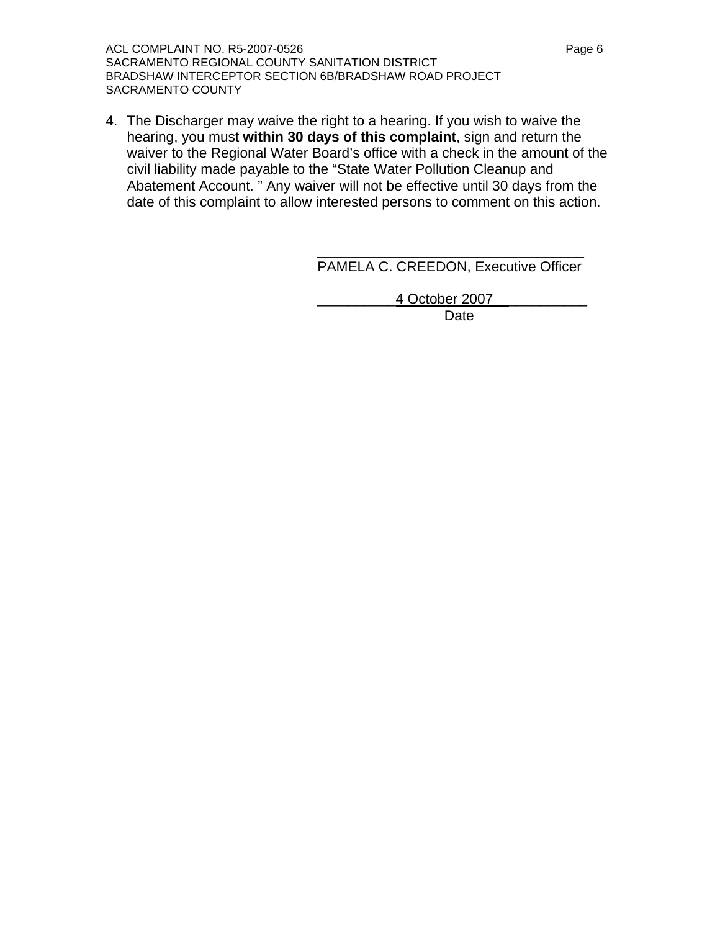ACL COMPLAINT NO. R5-2007-0526 Page 6 SACRAMENTO REGIONAL COUNTY SANITATION DISTRICT BRADSHAW INTERCEPTOR SECTION 6B/BRADSHAW ROAD PROJECT SACRAMENTO COUNTY

4. The Discharger may waive the right to a hearing. If you wish to waive the hearing, you must **within 30 days of this complaint**, sign and return the waiver to the Regional Water Board's office with a check in the amount of the civil liability made payable to the "State Water Pollution Cleanup and Abatement Account. " Any waiver will not be effective until 30 days from the date of this complaint to allow interested persons to comment on this action.

> \_\_\_\_\_\_\_\_\_\_\_\_\_\_\_\_\_\_\_\_\_\_\_\_\_\_\_\_\_\_\_\_\_\_ PAMELA C. CREEDON, Executive Officer

> > \_\_\_\_\_\_\_\_\_\_4 October 2007 \_\_\_\_\_\_\_\_\_\_

Date